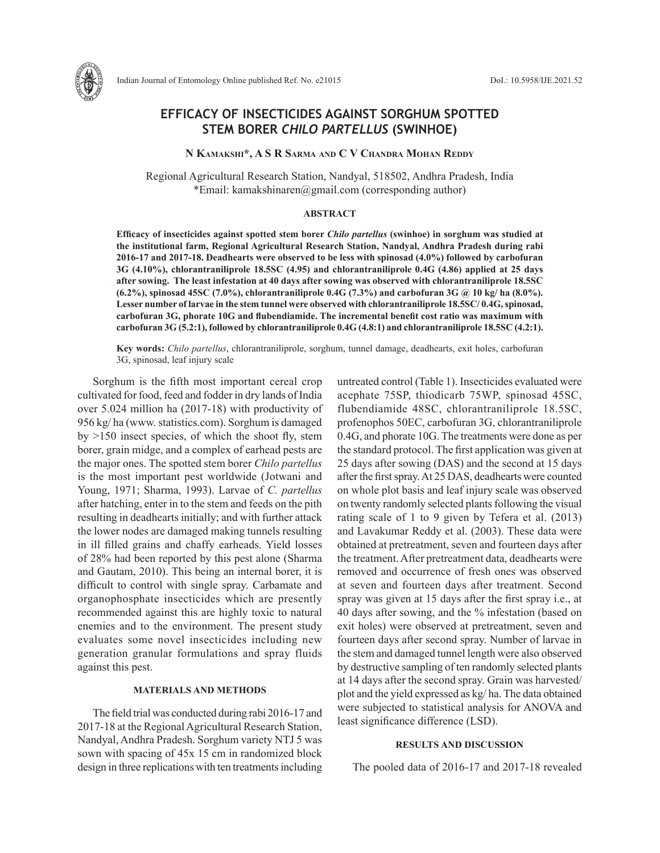

# **EFFICACY OF INSECTICIDES AGAINST SORGHUM SPOTTED STEM BORER** *CHILO PARTELLUS* **(SWINHOE)**

**N Kamakshi\*, A S R Sarma and C V Chandra Mohan Reddy**

Regional Agricultural Research Station, Nandyal, 518502, Andhra Pradesh, India \*Email: kamakshinaren@gmail.com (corresponding author)

# **ABSTRACT**

**Efficacy of insecticides against spotted stem borer** *Chilo partellus* **(swinhoe) in sorghum was studied at the institutional farm, Regional Agricultural Research Station, Nandyal, Andhra Pradesh during rabi 2016-17 and 2017-18. Deadhearts were observed to be less with spinosad (4.0%) followed by carbofuran 3G (4.10%), chlorantraniliprole 18.5SC (4.95) and chlorantraniliprole 0.4G (4.86) applied at 25 days after sowing. The least infestation at 40 days after sowing was observed with chlorantraniliprole 18.5SC (6.2%), spinosad 45SC (7.0%), chlorantraniliprole 0.4G (7.3%) and carbofuran 3G @ 10 kg/ ha (8.0%). Lesser number of larvae in the stem tunnel were observed with chlorantraniliprole 18.5SC/ 0.4G, spinosad, carbofuran 3G, phorate 10G and flubendiamide. The incremental benefit cost ratio was maximum with carbofuran 3G (5.2:1), followed by chlorantraniliprole 0.4G (4.8:1) and chlorantraniliprole 18.5SC (4.2:1).** 

**Key words:** *Chilo partellus*, chlorantraniliprole, sorghum, tunnel damage, deadhearts, exit holes, carbofuran 3G, spinosad, leaf injury scale

Sorghum is the fifth most important cereal crop cultivated for food, feed and fodder in dry lands of India over 5.024 million ha (2017-18) with productivity of 956 kg/ ha (www. statistics.com). Sorghum is damaged by >150 insect species, of which the shoot fly, stem borer, grain midge, and a complex of earhead pests are the major ones. The spotted stem borer *Chilo partellus* is the most important pest worldwide (Jotwani and Young, 1971; Sharma, 1993). Larvae of *C. partellus* after hatching, enter in to the stem and feeds on the pith resulting in deadhearts initially; and with further attack the lower nodes are damaged making tunnels resulting in ill filled grains and chaffy earheads. Yield losses of 28% had been reported by this pest alone (Sharma and Gautam, 2010). This being an internal borer, it is difficult to control with single spray. Carbamate and organophosphate insecticides which are presently recommended against this are highly toxic to natural enemies and to the environment. The present study evaluates some novel insecticides including new generation granular formulations and spray fluids against this pest.

#### **MATERIALS AND METHODS**

The field trial was conducted during rabi 2016-17 and 2017-18 at the Regional Agricultural Research Station, Nandyal, Andhra Pradesh. Sorghum variety NTJ 5 was sown with spacing of 45x 15 cm in randomized block design in three replications with ten treatments including untreated control (Table 1). Insecticides evaluated were acephate 75SP, thiodicarb 75WP, spinosad 45SC, flubendiamide 48SC, chlorantraniliprole 18.5SC, profenophos 50EC, carbofuran 3G, chlorantraniliprole 0.4G, and phorate 10G. The treatments were done as per the standard protocol. The first application was given at 25 days after sowing (DAS) and the second at 15 days after the first spray. At 25 DAS, deadhearts were counted on whole plot basis and leaf injury scale was observed on twenty randomly selected plants following the visual rating scale of 1 to 9 given by Tefera et al. (2013) and Lavakumar Reddy et al. (2003). These data were obtained at pretreatment, seven and fourteen days after the treatment. After pretreatment data, deadhearts were removed and occurrence of fresh ones was observed at seven and fourteen days after treatment. Second spray was given at 15 days after the first spray i.e., at 40 days after sowing, and the % infestation (based on exit holes) were observed at pretreatment, seven and fourteen days after second spray. Number of larvae in the stem and damaged tunnel length were also observed by destructive sampling of ten randomly selected plants at 14 days after the second spray. Grain was harvested/ plot and the yield expressed as kg/ ha. The data obtained were subjected to statistical analysis for ANOVA and least significance difference (LSD).

### **RESULTS AND DISCUSSION**

The pooled data of 2016-17 and 2017-18 revealed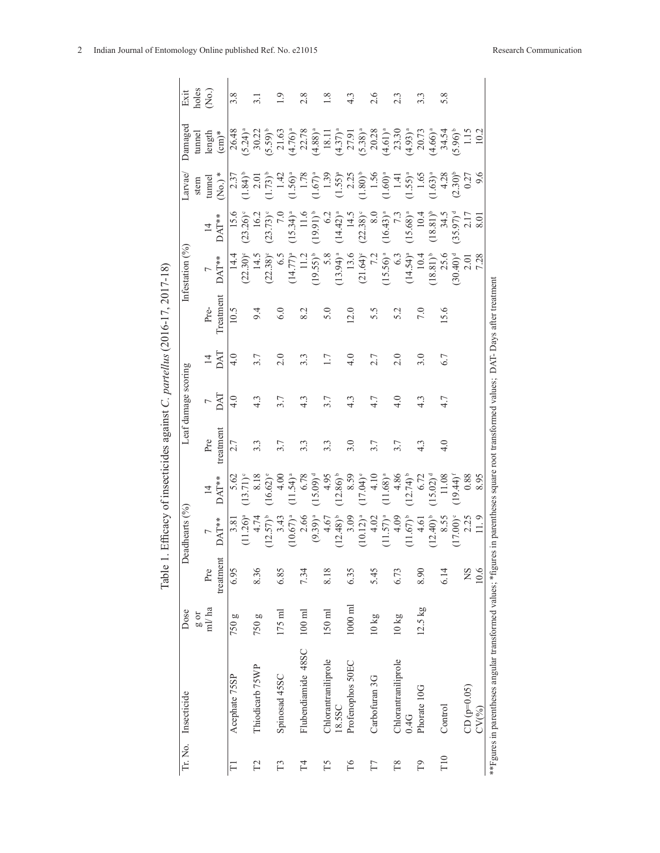| Tr. No. Insecticide | Dose               |           | Deadhearts (%)         |                        |                  | Leaf damage scoring |                  |           | Infestation $(%)$             |                        | arvae.                             | Damaged                                                                                                                                                                                                                                                           | Exit                |
|---------------------|--------------------|-----------|------------------------|------------------------|------------------|---------------------|------------------|-----------|-------------------------------|------------------------|------------------------------------|-------------------------------------------------------------------------------------------------------------------------------------------------------------------------------------------------------------------------------------------------------------------|---------------------|
|                     | $10\frac{8}{9}$    |           |                        |                        |                  |                     |                  |           |                               |                        | stem                               | tunnel                                                                                                                                                                                                                                                            | holes               |
|                     | ml/ha              | Pre       |                        | $\overline{4}$         | Pre              |                     | $\overline{4}$   | Pre-      |                               |                        | tunnel                             | length                                                                                                                                                                                                                                                            | $\rm \widetilde{R}$ |
|                     |                    | treatment | $\mathbf{DAT^{**}}$    | $\text{DAT}^{***}$     | treatment        | IND                 | DAT              | Treatment | DAT**                         | DAT**                  | (No.)                              | $\rm (cm)^*$                                                                                                                                                                                                                                                      |                     |
| Acephate 75SP       | 750 g              | 6.95      | 3.81                   | 5.62                   | 2.7              | 4.0                 | 4.0              | 10.5      | 14.4                          | 15.6                   |                                    |                                                                                                                                                                                                                                                                   | 3.8                 |
|                     |                    |           | $1.26$ <sup>a</sup>    | $13.71$ <sup>o</sup>   |                  |                     |                  |           | $(22.30)$ <sup>c</sup>        | (23.26)                | $(1.84)^{b}$                       |                                                                                                                                                                                                                                                                   |                     |
| Thiodicarb 75WP     | 750 g              | 8.36      | 4.74                   | 8.18                   | $3.\overline{3}$ | $4.\overline{3}$    |                  | 9.4       | 14.5                          | 16.2                   | 2.0                                |                                                                                                                                                                                                                                                                   |                     |
|                     |                    |           | $(12.57)^{b}$          | $16.62$ <sup>e</sup>   |                  |                     |                  |           | $(22.38)^c$                   | $(23.73)$ <sup>c</sup> | $(1.73)^{b}$                       |                                                                                                                                                                                                                                                                   |                     |
| Spinosad 45SC       | $175 \text{ ml}$   | 6.85      | 3.43                   | 4.00                   | 3.7              |                     | 2.0              | 6.0       | $\widetilde{6}.\widetilde{9}$ |                        | 1.42                               | $76.49$ $(5.24)^{3}$<br>$(5.59)^{4}$ , $(5.59)^{3}$ , $(5.69)^{3}$ , $(5.8)^{3}$ , $(5.8)^{3}$ , $(5.8)^{3}$ , $(5.8)^{3}$ , $(5.8)^{3}$ , $(5.8)^{3}$ , $(5.8)^{3}$ , $(5.8)^{3}$ , $(5.8)^{3}$ , $(5.8)^{3}$ , $(5.8)^{3}$ , $(5.8)^{3}$ , $(5.8)^{3}$ , $(5.8$ | Ο.                  |
|                     |                    |           | $(10.67)^{a}$          | $11.54$ <sup>a</sup>   |                  |                     |                  |           | $(14.77)^{a}$                 | $15.34$ <sup>a</sup>   | $(1.56)^{a}$                       |                                                                                                                                                                                                                                                                   |                     |
| Flubendiamide 48SC  | $100$ ml           | 7.34      | 2.66                   | 6.78                   | 3.3              | $4.\overline{3}$    |                  | 8.2       |                               |                        | 1.78                               |                                                                                                                                                                                                                                                                   | $\frac{8}{2}$       |
|                     |                    |           | $(9.39)^{a}$           | $15.09)$ <sup>d</sup>  |                  |                     |                  |           | $(19.55)^{b}$                 | $(19.91)^{b}$          |                                    |                                                                                                                                                                                                                                                                   |                     |
| Chlorantraniliprole | $150$ ml           | 8.18      | 4.67                   | 4.95                   | 3.3              | 3.7                 | $\overline{1}$ . | 5.0       | 5.8                           | 62                     | $(1.67)^{a}$<br>1.39               |                                                                                                                                                                                                                                                                   | $\frac{8}{1}$       |
| 18.5SC              |                    |           | $(12.48)$ <sup>b</sup> | $12.86$ <sup>b</sup>   |                  |                     |                  |           | $(13.94)^{a}$                 | $(14.42)^{a}$          |                                    |                                                                                                                                                                                                                                                                   |                     |
| Profenophos 50EC    | $1000\;\mathrm{m}$ | 6.35      | 3.09                   | 8.59                   | 3.0              | $4.\overline{3}$    | $\frac{0}{4}$    | 12.0      | 13.6                          | 14.5                   | $(1.55)^a$<br>2.25<br>$(1.80)^b$   |                                                                                                                                                                                                                                                                   | $4.\overline{3}$    |
|                     |                    |           | (10.12) <sup>a</sup>   | 17.04) <sup>e</sup>    |                  |                     |                  |           | $(21.64)^{c}$                 | $(22.38)$ <sup>c</sup> |                                    |                                                                                                                                                                                                                                                                   |                     |
| Carbofuran 3G       | $10 \text{ kg}$    | 5.45      | 4.02                   | 4.10                   | 3.7              | 4.7                 | 2.7              | 5.5       | 7.2                           | $\frac{8}{8}$          | 1.56                               |                                                                                                                                                                                                                                                                   | 2.6                 |
|                     |                    |           | $(11.57)^{a}$          | $11.68$ <sup>a</sup>   |                  |                     |                  |           | $(15.56)^{a}$                 | $(16.43)^{a}$          | $(1.60)^{a}$                       |                                                                                                                                                                                                                                                                   |                     |
| Chlorantraniliprole | $10\,\mathrm{kg}$  | 6.73      | 4.09                   | 4.86                   | 3.7              | $\frac{0}{4}$       | 2.0              | 5.2       | 6.3                           | $\tilde{z}$            | $1.41$<br>$(1.55)^{a}$             |                                                                                                                                                                                                                                                                   | $2.\overline{3}$    |
| 0.4G                |                    |           | $(11.67)$ <sup>b</sup> | $(12.74)$ <sup>b</sup> |                  |                     |                  |           | $(14.54)^{a}$                 | $(15.68)^{a}$          |                                    |                                                                                                                                                                                                                                                                   |                     |
| Phorate 10G         | 12.5 kg            | 8.90      | $-4.61$                | 6.72                   | $\frac{3}{4}$    | $4.\overline{3}$    | 3.0              | 7.0       | 10.4                          | $10.4\,$               |                                    |                                                                                                                                                                                                                                                                   | 3.3                 |
|                     |                    |           | $(12.40)^{b}$          | $(15.02)^d$            |                  |                     |                  |           | $(18.81)$ <sup>b</sup>        | $(18.81)^{b}$          | $1.65$<br>(1.63) <sup>a</sup>      |                                                                                                                                                                                                                                                                   |                     |
| Control             |                    | 6.14      | 8.55                   | 11.08                  | $\frac{1}{4}$    | 4.7                 | 6.7              | 15.6      | 25.6                          | 34.5                   |                                    |                                                                                                                                                                                                                                                                   | 5.8                 |
|                     |                    |           | $(17.00)$ <sup>c</sup> | $(19.44)$ <sup>f</sup> |                  |                     |                  |           | $(30.40)^{d}$                 | $(35.97)^{d}$          | $(2.30)^b$<br>$(0.30)^b$<br>$0.27$ | $34.54$<br>(5.96) <sup>b</sup>                                                                                                                                                                                                                                    |                     |
| $CD (p=0.05)$       |                    | SN        | 2.25                   | 0.88                   |                  |                     |                  |           | 2.01                          | $\frac{1}{2}$          |                                    | 1.15                                                                                                                                                                                                                                                              |                     |
| CV(%)               |                    | 10.6      | 11.9                   | 8.95                   |                  |                     |                  |           | 7.28                          | 8.01                   | 9.6                                | 10.2                                                                                                                                                                                                                                                              |                     |

Table 1. Efficacy of insecticides against C. partellus (2016-17, 2017-18) Table 1. Efficacy of insecticides against *C. partellus* (2016-17, 2017-18)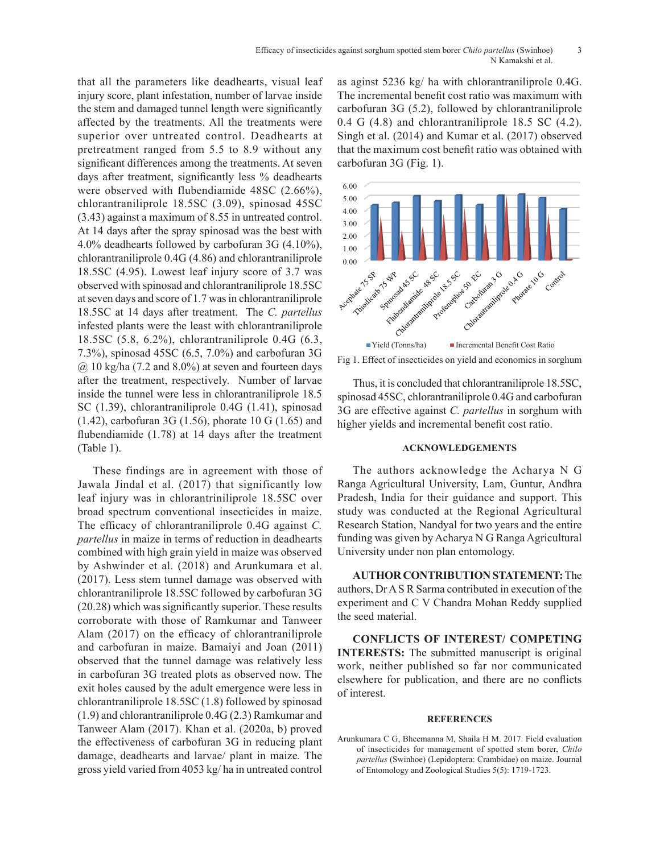that all the parameters like deadhearts, visual leaf injury score, plant infestation, number of larvae inside the stem and damaged tunnel length were significantly affected by the treatments. All the treatments were superior over untreated control. Deadhearts at pretreatment ranged from 5.5 to 8.9 without any significant differences among the treatments. At seven days after treatment, significantly less % deadhearts were observed with flubendiamide 48SC (2.66%), chlorantraniliprole 18.5SC (3.09), spinosad 45SC (3.43) against a maximum of 8.55 in untreated control. At 14 days after the spray spinosad was the best with 4.0% deadhearts followed by carbofuran 3G (4.10%), chlorantraniliprole 0.4G (4.86) and chlorantraniliprole 18.5SC (4.95). Lowest leaf injury score of 3.7 was observed with spinosad and chlorantraniliprole 18.5SC at seven days and score of 1.7 was in chlorantraniliprole 18.5SC at 14 days after treatment. The *C. partellus* infested plants were the least with chlorantraniliprole 18.5SC (5.8, 6.2%), chlorantraniliprole 0.4G (6.3, 7.3%), spinosad 45SC (6.5, 7.0%) and carbofuran 3G  $\omega$  10 kg/ha (7.2 and 8.0%) at seven and fourteen days after the treatment, respectively. Number of larvae inside the tunnel were less in chlorantraniliprole 18.5 SC (1.39), chlorantraniliprole 0.4G (1.41), spinosad (1.42), carbofuran 3G (1.56), phorate 10 G (1.65) and flubendiamide (1.78) at 14 days after the treatment (Table 1).

These findings are in agreement with those of Jawala Jindal et al. (2017) that significantly low leaf injury was in chlorantriniliprole 18.5SC over broad spectrum conventional insecticides in maize. The efficacy of chlorantraniliprole 0.4G against *C. partellus* in maize in terms of reduction in deadhearts combined with high grain yield in maize was observed by Ashwinder et al. (2018) and Arunkumara et al. (2017). Less stem tunnel damage was observed with chlorantraniliprole 18.5SC followed by carbofuran 3G (20.28) which was significantly superior. These results corroborate with those of Ramkumar and Tanweer Alam (2017) on the efficacy of chlorantraniliprole and carbofuran in maize. Bamaiyi and Joan (2011) observed that the tunnel damage was relatively less in carbofuran 3G treated plots as observed now. The exit holes caused by the adult emergence were less in chlorantraniliprole 18.5SC (1.8) followed by spinosad (1.9) and chlorantraniliprole 0.4G (2.3) Ramkumar and Tanweer Alam (2017). Khan et al. (2020a, b) proved the effectiveness of carbofuran 3G in reducing plant damage, deadhearts and larvae/ plant in maize*.* The gross yield varied from 4053 kg/ ha in untreated control

as aginst 5236 kg/ ha with chlorantraniliprole 0.4G. The incremental benefit cost ratio was maximum with carbofuran 3G (5.2), followed by chlorantraniliprole 0.4 G (4.8) and chlorantraniliprole 18.5 SC (4.2). Singh et al.  $(2014)$  and Kumar et al.  $(2017)$  observed that the maximum cost benefit ratio was obtained with carbofuran 3G (Fig. 1).



Fig 1. Effect of insecticides on yield and economics in sorghum

Thus, it is concluded that chlorantraniliprole 18.5SC, spinosad 45SC, chlorantraniliprole 0.4G and carbofuran 3G are effective against *C. partellus* in sorghum with higher yields and incremental benefit cost ratio.

# **ACKNOWLEDGEMENTS**

The authors acknowledge the Acharya N G Ranga Agricultural University, Lam, Guntur, Andhra Pradesh, India for their guidance and support. This study was conducted at the Regional Agricultural Research Station, Nandyal for two years and the entire funding was given by Acharya N G Ranga Agricultural University under non plan entomology.

**AUTHOR CONTRIBUTION STATEMENT:** The authors, Dr A S R Sarma contributed in execution of the experiment and C V Chandra Mohan Reddy supplied the seed material.

**CONFLICTS OF INTEREST/ COMPETING INTERESTS:** The submitted manuscript is original work, neither published so far nor communicated elsewhere for publication, and there are no conflicts of interest.

#### **REFERENCES**

Arunkumara C G, Bheemanna M, Shaila H M. 2017. Field evaluation of insecticides for management of spotted stem borer, *Chilo partellus* (Swinhoe) (Lepidoptera: Crambidae) on maize. Journal of Entomology and Zoological Studies 5(5): 1719-1723.